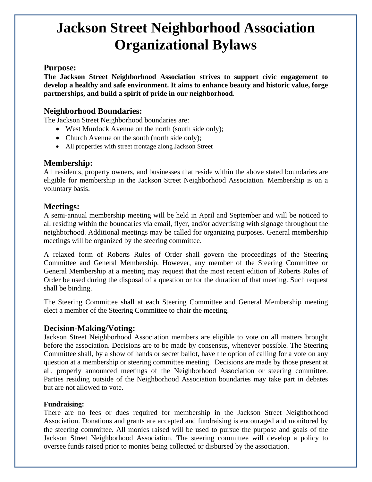# **Jackson Street Neighborhood Association Organizational Bylaws**

## **Purpose:**

**The Jackson Street Neighborhood Association strives to support civic engagement to develop a healthy and safe environment. It aims to enhance beauty and historic value, forge partnerships, and build a spirit of pride in our neighborhood**.

## **Neighborhood Boundaries:**

The Jackson Street Neighborhood boundaries are:

- West Murdock Avenue on the north (south side only);
- Church Avenue on the south (north side only);
- All properties with street frontage along Jackson Street

## **Membership:**

All residents, property owners, and businesses that reside within the above stated boundaries are eligible for membership in the Jackson Street Neighborhood Association. Membership is on a voluntary basis.

## **Meetings:**

A semi-annual membership meeting will be held in April and September and will be noticed to all residing within the boundaries via email, flyer, and/or advertising with signage throughout the neighborhood. Additional meetings may be called for organizing purposes. General membership meetings will be organized by the steering committee.

A relaxed form of Roberts Rules of Order shall govern the proceedings of the Steering Committee and General Membership. However, any member of the Steering Committee or General Membership at a meeting may request that the most recent edition of Roberts Rules of Order be used during the disposal of a question or for the duration of that meeting. Such request shall be binding.

The Steering Committee shall at each Steering Committee and General Membership meeting elect a member of the Steering Committee to chair the meeting.

## **Decision-Making/Voting:**

Jackson Street Neighborhood Association members are eligible to vote on all matters brought before the association. Decisions are to be made by consensus, whenever possible. The Steering Committee shall, by a show of hands or secret ballot, have the option of calling for a vote on any question at a membership or steering committee meeting. Decisions are made by those present at all, properly announced meetings of the Neighborhood Association or steering committee. Parties residing outside of the Neighborhood Association boundaries may take part in debates but are not allowed to vote.

#### **Fundraising:**

There are no fees or dues required for membership in the Jackson Street Neighborhood Association. Donations and grants are accepted and fundraising is encouraged and monitored by the steering committee. All monies raised will be used to pursue the purpose and goals of the Jackson Street Neighborhood Association. The steering committee will develop a policy to oversee funds raised prior to monies being collected or disbursed by the association.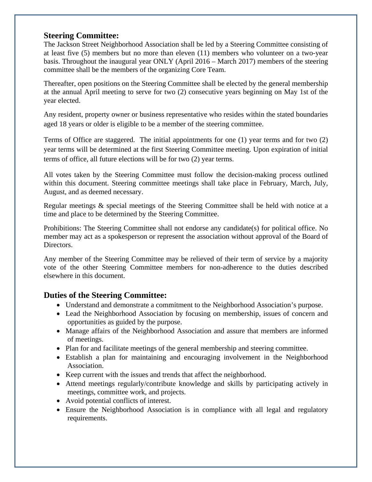## **Steering Committee:**

The Jackson Street Neighborhood Association shall be led by a Steering Committee consisting of at least five (5) members but no more than eleven (11) members who volunteer on a two-year basis. Throughout the inaugural year ONLY (April 2016 – March 2017) members of the steering committee shall be the members of the organizing Core Team.

Thereafter, open positions on the Steering Committee shall be elected by the general membership at the annual April meeting to serve for two (2) consecutive years beginning on May 1st of the year elected.

Any resident, property owner or business representative who resides within the stated boundaries aged 18 years or older is eligible to be a member of the steering committee.

Terms of Office are staggered. The initial appointments for one (1) year terms and for two (2) year terms will be determined at the first Steering Committee meeting. Upon expiration of initial terms of office, all future elections will be for two (2) year terms.

All votes taken by the Steering Committee must follow the decision-making process outlined within this document. Steering committee meetings shall take place in February, March, July, August, and as deemed necessary.

Regular meetings & special meetings of the Steering Committee shall be held with notice at a time and place to be determined by the Steering Committee.

Prohibitions: The Steering Committee shall not endorse any candidate(s) for political office. No member may act as a spokesperson or represent the association without approval of the Board of Directors.

Any member of the Steering Committee may be relieved of their term of service by a majority vote of the other Steering Committee members for non-adherence to the duties described elsewhere in this document.

## **Duties of the Steering Committee:**

- Understand and demonstrate a commitment to the Neighborhood Association's purpose.
- Lead the Neighborhood Association by focusing on membership, issues of concern and opportunities as guided by the purpose.
- Manage affairs of the Neighborhood Association and assure that members are informed of meetings.
- Plan for and facilitate meetings of the general membership and steering committee.
- Establish a plan for maintaining and encouraging involvement in the Neighborhood Association.
- Keep current with the issues and trends that affect the neighborhood.
- Attend meetings regularly/contribute knowledge and skills by participating actively in meetings, committee work, and projects.
- Avoid potential conflicts of interest.
- Ensure the Neighborhood Association is in compliance with all legal and regulatory requirements.